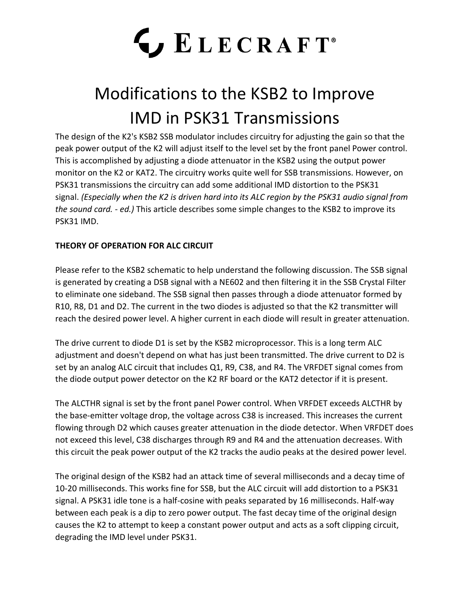# **LECRAFT**®

### Modifications to the KSB2 to Improve IMD in PSK31 Transmissions

The design of the K2's KSB2 SSB modulator includes circuitry for adjusting the gain so that the peak power output of the K2 will adjust itself to the level set by the front panel Power control. This is accomplished by adjusting a diode attenuator in the KSB2 using the output power monitor on the K2 or KAT2. The circuitry works quite well for SSB transmissions. However, on PSK31 transmissions the circuitry can add some additional IMD distortion to the PSK31 signal. *(Especially when the K2 is driven hard into its ALC region by the PSK31 audio signal from the sound card. - ed.)* This article describes some simple changes to the KSB2 to improve its PSK31 IMD.

#### **THEORY OF OPERATION FOR ALC CIRCUIT**

Please refer to the KSB2 schematic to help understand the following discussion. The SSB signal is generated by creating a DSB signal with a NE602 and then filtering it in the SSB Crystal Filter to eliminate one sideband. The SSB signal then passes through a diode attenuator formed by R10, R8, D1 and D2. The current in the two diodes is adjusted so that the K2 transmitter will reach the desired power level. A higher current in each diode will result in greater attenuation.

The drive current to diode D1 is set by the KSB2 microprocessor. This is a long term ALC adjustment and doesn't depend on what has just been transmitted. The drive current to D2 is set by an analog ALC circuit that includes Q1, R9, C38, and R4. The VRFDET signal comes from the diode output power detector on the K2 RF board or the KAT2 detector if it is present.

The ALCTHR signal is set by the front panel Power control. When VRFDET exceeds ALCTHR by the base-emitter voltage drop, the voltage across C38 is increased. This increases the current flowing through D2 which causes greater attenuation in the diode detector. When VRFDET does not exceed this level, C38 discharges through R9 and R4 and the attenuation decreases. With this circuit the peak power output of the K2 tracks the audio peaks at the desired power level.

The original design of the KSB2 had an attack time of several milliseconds and a decay time of 10-20 milliseconds. This works fine for SSB, but the ALC circuit will add distortion to a PSK31 signal. A PSK31 idle tone is a half-cosine with peaks separated by 16 milliseconds. Half-way between each peak is a dip to zero power output. The fast decay time of the original design causes the K2 to attempt to keep a constant power output and acts as a soft clipping circuit, degrading the IMD level under PSK31.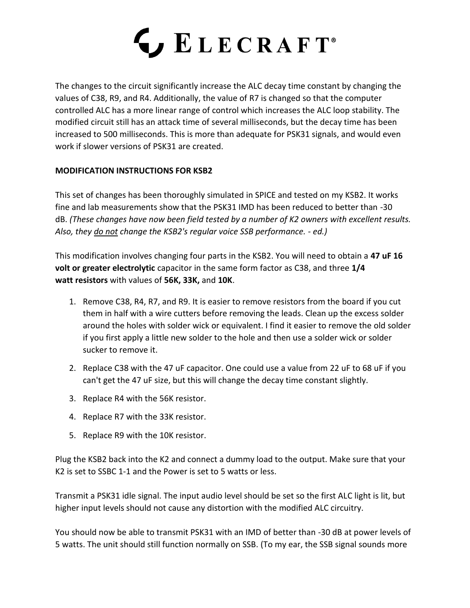

The changes to the circuit significantly increase the ALC decay time constant by changing the values of C38, R9, and R4. Additionally, the value of R7 is changed so that the computer controlled ALC has a more linear range of control which increases the ALC loop stability. The modified circuit still has an attack time of several milliseconds, but the decay time has been increased to 500 milliseconds. This is more than adequate for PSK31 signals, and would even work if slower versions of PSK31 are created.

#### **MODIFICATION INSTRUCTIONS FOR KSB2**

This set of changes has been thoroughly simulated in SPICE and tested on my KSB2. It works fine and lab measurements show that the PSK31 IMD has been reduced to better than -30 dB. *(These changes have now been field tested by a number of K2 owners with excellent results. Also, they do not change the KSB2's regular voice SSB performance. - ed.)*

This modification involves changing four parts in the KSB2. You will need to obtain a **47 uF 16 volt or greater electrolytic** capacitor in the same form factor as C38, and three **1/4 watt resistors** with values of **56K, 33K,** and **10K**.

- 1. Remove C38, R4, R7, and R9. It is easier to remove resistors from the board if you cut them in half with a wire cutters before removing the leads. Clean up the excess solder around the holes with solder wick or equivalent. I find it easier to remove the old solder if you first apply a little new solder to the hole and then use a solder wick or solder sucker to remove it.
- 2. Replace C38 with the 47 uF capacitor. One could use a value from 22 uF to 68 uF if you can't get the 47 uF size, but this will change the decay time constant slightly.
- 3. Replace R4 with the 56K resistor.
- 4. Replace R7 with the 33K resistor.
- 5. Replace R9 with the 10K resistor.

Plug the KSB2 back into the K2 and connect a dummy load to the output. Make sure that your K2 is set to SSBC 1-1 and the Power is set to 5 watts or less.

Transmit a PSK31 idle signal. The input audio level should be set so the first ALC light is lit, but higher input levels should not cause any distortion with the modified ALC circuitry.

You should now be able to transmit PSK31 with an IMD of better than -30 dB at power levels of 5 watts. The unit should still function normally on SSB. (To my ear, the SSB signal sounds more